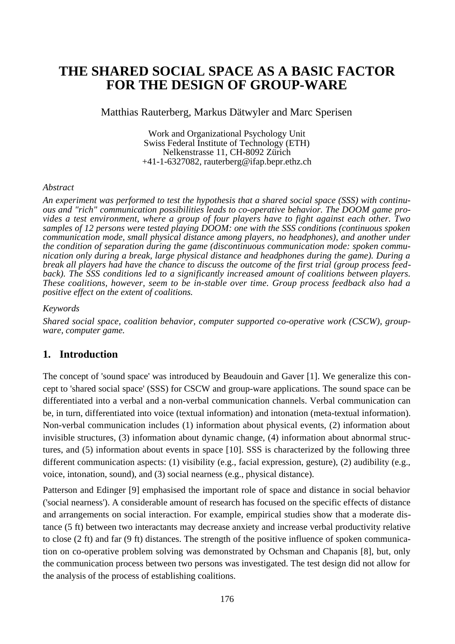# **THE SHARED SOCIAL SPACE AS A BASIC FACTOR FOR THE DESIGN OF GROUP-WARE**

Matthias Rauterberg, Markus Dätwyler and Marc Sperisen

Work and Organizational Psychology Unit Swiss Federal Institute of Technology (ETH) Nelkenstrasse 11, CH-8092 Zürich +41-1-6327082, rauterberg@ifap.bepr.ethz.ch

#### *Abstract*

*An experiment was performed to test the hypothesis that a shared social space (SSS) with continuous and "rich" communication possibilities leads to co-operative behavior. The DOOM game provides a test environment, where a group of four players have to fight against each other. Two samples of 12 persons were tested playing DOOM: one with the SSS conditions (continuous spoken communication mode, small physical distance among players, no headphones), and another under the condition of separation during the game (discontinuous communication mode: spoken communication only during a break, large physical distance and headphones during the game). During a break all players had have the chance to discuss the outcome of the first trial (group process feedback). The SSS conditions led to a significantly increased amount of coalitions between players. These coalitions, however, seem to be in-stable over time. Group process feedback also had a positive effect on the extent of coalitions.*

#### *Keywords*

*Shared social space, coalition behavior, computer supported co-operative work (CSCW), groupware, computer game.*

# **1. Introduction**

The concept of 'sound space' was introduced by Beaudouin and Gaver [1]. We generalize this concept to 'shared social space' (SSS) for CSCW and group-ware applications. The sound space can be differentiated into a verbal and a non-verbal communication channels. Verbal communication can be, in turn, differentiated into voice (textual information) and intonation (meta-textual information). Non-verbal communication includes (1) information about physical events, (2) information about invisible structures, (3) information about dynamic change, (4) information about abnormal structures, and (5) information about events in space [10]. SSS is characterized by the following three different communication aspects: (1) visibility (e.g., facial expression, gesture), (2) audibility (e.g., voice, intonation, sound), and (3) social nearness (e.g., physical distance).

Patterson and Edinger [9] emphasised the important role of space and distance in social behavior ('social nearness'). A considerable amount of research has focused on the specific effects of distance and arrangements on social interaction. For example, empirical studies show that a moderate distance (5 ft) between two interactants may decrease anxiety and increase verbal productivity relative to close (2 ft) and far (9 ft) distances. The strength of the positive influence of spoken communication on co-operative problem solving was demonstrated by Ochsman and Chapanis [8], but, only the communication process between two persons was investigated. The test design did not allow for the analysis of the process of establishing coalitions.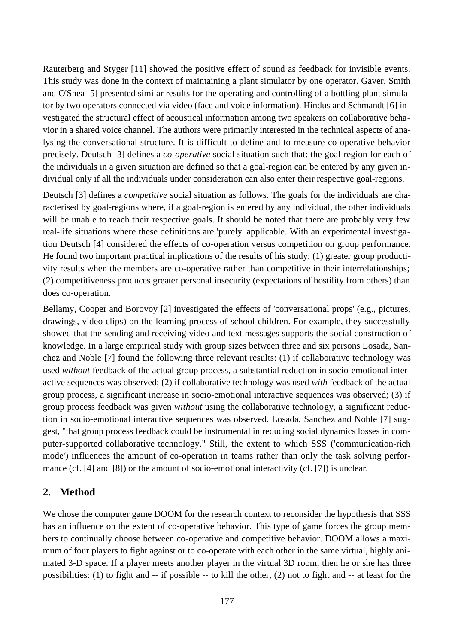Rauterberg and Styger [11] showed the positive effect of sound as feedback for invisible events. This study was done in the context of maintaining a plant simulator by one operator. Gaver, Smith and O'Shea [5] presented similar results for the operating and controlling of a bottling plant simulator by two operators connected via video (face and voice information). Hindus and Schmandt [6] investigated the structural effect of acoustical information among two speakers on collaborative behavior in a shared voice channel. The authors were primarily interested in the technical aspects of analysing the conversational structure. It is difficult to define and to measure co-operative behavior precisely. Deutsch [3] defines a *co-operative* social situation such that: the goal-region for each of the individuals in a given situation are defined so that a goal-region can be entered by any given individual only if all the individuals under consideration can also enter their respective goal-regions.

Deutsch [3] defines a *competitive* social situation as follows. The goals for the individuals are characterised by goal-regions where, if a goal-region is entered by any individual, the other individuals will be unable to reach their respective goals. It should be noted that there are probably very few real-life situations where these definitions are 'purely' applicable. With an experimental investigation Deutsch [4] considered the effects of co-operation versus competition on group performance. He found two important practical implications of the results of his study: (1) greater group productivity results when the members are co-operative rather than competitive in their interrelationships; (2) competitiveness produces greater personal insecurity (expectations of hostility from others) than does co-operation.

Bellamy, Cooper and Borovoy [2] investigated the effects of 'conversational props' (e.g., pictures, drawings, video clips) on the learning process of school children. For example, they successfully showed that the sending and receiving video and text messages supports the social construction of knowledge. In a large empirical study with group sizes between three and six persons Losada, Sanchez and Noble [7] found the following three relevant results: (1) if collaborative technology was used *without* feedback of the actual group process, a substantial reduction in socio-emotional interactive sequences was observed; (2) if collaborative technology was used *with* feedback of the actual group process, a significant increase in socio-emotional interactive sequences was observed; (3) if group process feedback was given *without* using the collaborative technology, a significant reduction in socio-emotional interactive sequences was observed. Losada, Sanchez and Noble [7] suggest, "that group process feedback could be instrumental in reducing social dynamics losses in computer-supported collaborative technology." Still, the extent to which SSS ('communication-rich mode') influences the amount of co-operation in teams rather than only the task solving performance (cf. [4] and [8]) or the amount of socio-emotional interactivity (cf. [7]) is unclear.

# **2. Method**

We chose the computer game DOOM for the research context to reconsider the hypothesis that SSS has an influence on the extent of co-operative behavior. This type of game forces the group members to continually choose between co-operative and competitive behavior. DOOM allows a maximum of four players to fight against or to co-operate with each other in the same virtual, highly animated 3-D space. If a player meets another player in the virtual 3D room, then he or she has three possibilities: (1) to fight and -- if possible -- to kill the other, (2) not to fight and -- at least for the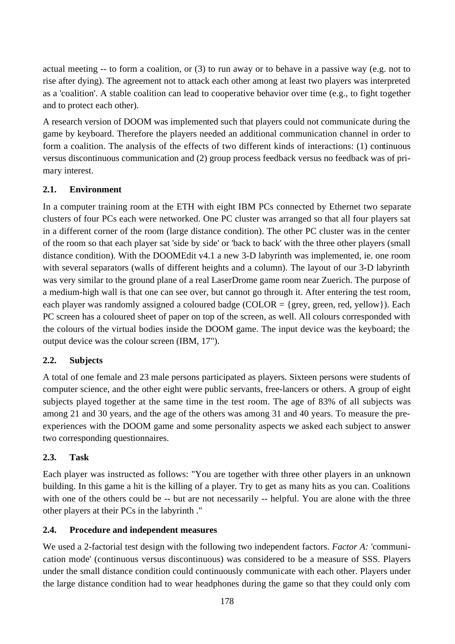actual meeting -- to form a coalition, or (3) to run away or to behave in a passive way (e.g. not to rise after dying). The agreement not to attack each other among at least two players was interpreted as a 'coalition'. A stable coalition can lead to cooperative behavior over time (e.g., to fight together and to protect each other).

A research version of DOOM was implemented such that players could not communicate during the game by keyboard. Therefore the players needed an additional communication channel in order to form a coalition. The analysis of the effects of two different kinds of interactions: (1) continuous versus discontinuous communication and (2) group process feedback versus no feedback was of primary interest.

# **2.1. Environment**

In a computer training room at the ETH with eight IBM PCs connected by Ethernet two separate clusters of four PCs each were networked. One PC cluster was arranged so that all four players sat in a different corner of the room (large distance condition). The other PC cluster was in the center of the room so that each player sat 'side by side' or 'back to back' with the three other players (small distance condition). With the DOOMEdit v4.1 a new 3-D labyrinth was implemented, ie. one room with several separators (walls of different heights and a column). The layout of our 3-D labyrinth was very similar to the ground plane of a real LaserDrome game room near Zuerich. The purpose of a medium-high wall is that one can see over, but cannot go through it. After entering the test room, each player was randomly assigned a coloured badge (COLOR = {grey, green, red, yellow}). Each PC screen has a coloured sheet of paper on top of the screen, as well. All colours corresponded with the colours of the virtual bodies inside the DOOM game. The input device was the keyboard; the output device was the colour screen (IBM, 17").

# **2.2. Subjects**

A total of one female and 23 male persons participated as players. Sixteen persons were students of computer science, and the other eight were public servants, free-lancers or others. A group of eight subjects played together at the same time in the test room. The age of 83% of all subjects was among 21 and 30 years, and the age of the others was among 31 and 40 years. To measure the preexperiences with the DOOM game and some personality aspects we asked each subject to answer two corresponding questionnaires.

# **2.3. Task**

Each player was instructed as follows: "You are together with three other players in an unknown building. In this game a hit is the killing of a player. Try to get as many hits as you can. Coalitions with one of the others could be -- but are not necessarily -- helpful. You are alone with the three other players at their PCs in the labyrinth ."

# **2.4. Procedure and independent measures**

We used a 2-factorial test design with the following two independent factors. *Factor A:* 'communication mode' (continuous versus discontinuous) was considered to be a measure of SSS. Players under the small distance condition could continuously communicate with each other. Players under the large distance condition had to wear headphones during the game so that they could only com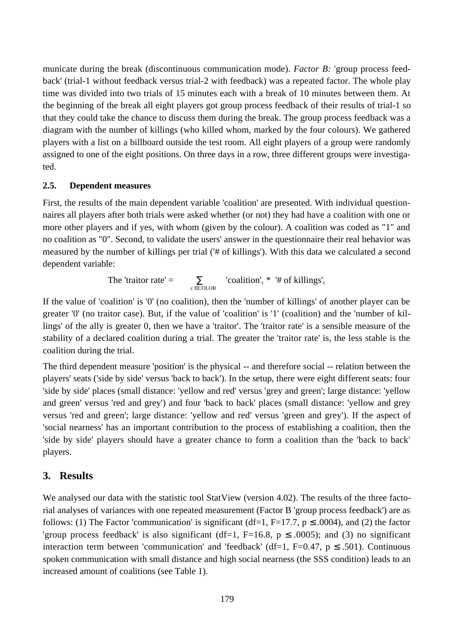municate during the break (discontinuous communication mode). *Factor B:* 'group process feedback' (trial-1 without feedback versus trial-2 with feedback) was a repeated factor. The whole play time was divided into two trials of 15 minutes each with a break of 10 minutes between them. At the beginning of the break all eight players got group process feedback of their results of trial-1 so that they could take the chance to discuss them during the break. The group process feedback was a diagram with the number of killings (who killed whom, marked by the four colours). We gathered players with a list on a billboard outside the test room. All eight players of a group were randomly assigned to one of the eight positions. On three days in a row, three different groups were investigated.

#### **2.5. Dependent measures**

First, the results of the main dependent variable 'coalition' are presented. With individual questionnaires all players after both trials were asked whether (or not) they had have a coalition with one or more other players and if yes, with whom (given by the colour). A coalition was coded as "1" and no coalition as "0". Second, to validate the users' answer in the questionnaire their real behavior was measured by the number of killings per trial ('# of killings'). With this data we calculated a second dependent variable:

The 'traitor rate' =  $\sum_{c \in \text{COLOR}}$  'coalition'<sub>c</sub> \* '# of killings'<sub>c</sub>

If the value of 'coalition' is '0' (no coalition), then the 'number of killings' of another player can be greater '0' (no traitor case). But, if the value of 'coalition' is '1' (coalition) and the 'number of killings' of the ally is greater 0, then we have a 'traitor'. The 'traitor rate' is a sensible measure of the stability of a declared coalition during a trial. The greater the 'traitor rate' is, the less stable is the coalition during the trial.

The third dependent measure 'position' is the physical -- and therefore social -- relation between the players' seats ('side by side' versus 'back to back'). In the setup, there were eight different seats: four 'side by side' places (small distance: 'yellow and red' versus 'grey and green'; large distance: 'yellow and green' versus 'red and grey') and four 'back to back' places (small distance: 'yellow and grey versus 'red and green'; large distance: 'yellow and red' versus 'green and grey'). If the aspect of 'social nearness' has an important contribution to the process of establishing a coalition, then the 'side by side' players should have a greater chance to form a coalition than the 'back to back' players.

#### **3. Results**

We analysed our data with the statistic tool StatView (version 4.02). The results of the three factorial analyses of variances with one repeated measurement (Factor B 'group process feedback') are as follows: (1) The Factor 'communication' is significant (df=1, F=17.7,  $p \le 0.0004$ ), and (2) the factor 'group process feedback' is also significant (df=1, F=16.8,  $p \leq .0005$ ); and (3) no significant interaction term between 'communication' and 'feedback' (df=1, F=0.47,  $p \le .501$ ). Continuous spoken communication with small distance and high social nearness (the SSS condition) leads to an increased amount of coalitions (see Table 1).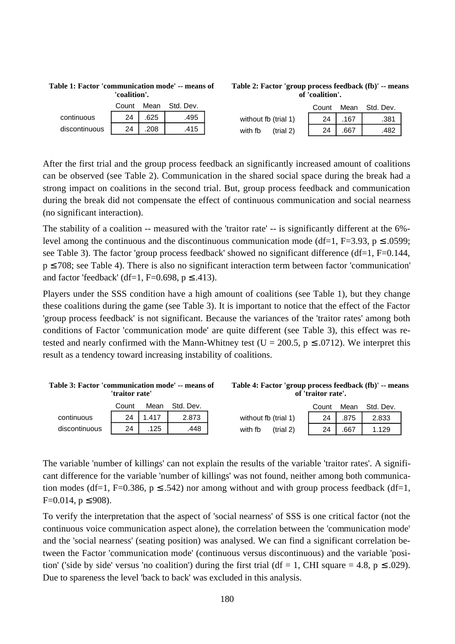|               | Count |     | Mean Std. Dev. |
|---------------|-------|-----|----------------|
| continuous    | 24    | 625 | 495            |
| discontinuous |       | 208 | 415            |

**Table 1: Factor 'communication mode' -- means of 'coalition'.**

| Table 2: Factor 'group process feedback (fb)' -- means |  |
|--------------------------------------------------------|--|
| of 'coalition'.                                        |  |

|                       |    |      | Count Mean Std. Dev. |
|-----------------------|----|------|----------------------|
| without fb (trial 1)  | 24 | .167 | .381                 |
| with fb<br>$-trial 2$ | 24 | .667 | .482                 |

After the first trial and the group process feedback an significantly increased amount of coalitions can be observed (see Table 2). Communication in the shared social space during the break had a strong impact on coalitions in the second trial. But, group process feedback and communication during the break did not compensate the effect of continuous communication and social nearness (no significant interaction).

The stability of a coalition -- measured with the 'traitor rate' -- is significantly different at the 6% level among the continuous and the discontinuous communication mode (df=1, F=3.93, p  $\leq$  .0599; see Table 3). The factor 'group process feedback' showed no significant difference (df=1, F=0.144, p ≤ 708; see Table 4). There is also no significant interaction term between factor 'communication' and factor 'feedback' (df=1, F=0.698,  $p \le 0.413$ ).

Players under the SSS condition have a high amount of coalitions (see Table 1), but they change these coalitions during the game (see Table 3). It is important to notice that the effect of the Factor 'group process feedback' is not significant. Because the variances of the 'traitor rates' among both conditions of Factor 'communication mode' are quite different (see Table 3), this effect was retested and nearly confirmed with the Mann-Whitney test ( $U = 200.5$ ,  $p \le .0712$ ). We interpret this result as a tendency toward increasing instability of coalitions.

| Table 3: Factor 'communication mode' -- means of | 'traitor rate' |       |           | Table 4: Factor 'group process feedback (fb)' -- means | of 'traitor rate'. |      |           |  |
|--------------------------------------------------|----------------|-------|-----------|--------------------------------------------------------|--------------------|------|-----------|--|
|                                                  | Count          | Mean  | Std. Dev. |                                                        | Count              | Mean | Std. Dev. |  |
| continuous                                       | 24             | 1.417 | 2.873     | without fb (trial 1)                                   | 24                 | .875 | 2.833     |  |
| discontinuous                                    | 24             | 125   | .448      | (trial 2)<br>with fb                                   | 24                 | .667 | 1.129     |  |

The variable 'number of killings' can not explain the results of the variable 'traitor rates'. A significant difference for the variable 'number of killings' was not found, neither among both communication modes (df=1, F=0.386,  $p \le 0.542$ ) nor among without and with group process feedback (df=1,  $F=0.014$ ,  $p \le 908$ ).

To verify the interpretation that the aspect of 'social nearness' of SSS is one critical factor (not the continuous voice communication aspect alone), the correlation between the 'communication mode' and the 'social nearness' (seating position) was analysed. We can find a significant correlation between the Factor 'communication mode' (continuous versus discontinuous) and the variable 'position' ('side by side' versus 'no coalition') during the first trial (df = 1, CHI square = 4.8, p  $\leq$  .029). Due to spareness the level 'back to back' was excluded in this analysis.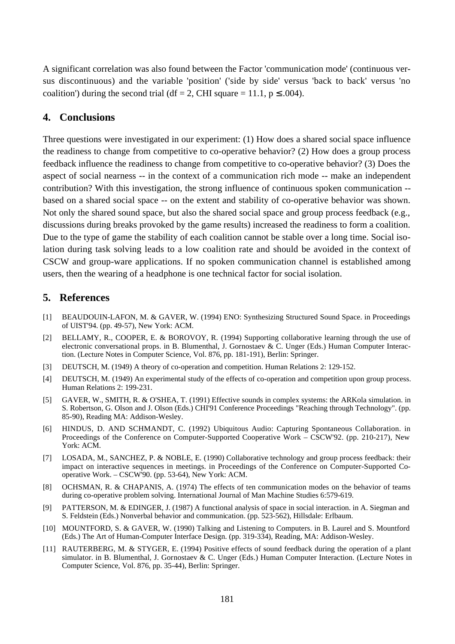A significant correlation was also found between the Factor 'communication mode' (continuous versus discontinuous) and the variable 'position' ('side by side' versus 'back to back' versus 'no coalition') during the second trial (df = 2, CHI square = 11.1,  $p \le 0.004$ ).

# **4. Conclusions**

Three questions were investigated in our experiment: (1) How does a shared social space influence the readiness to change from competitive to co-operative behavior? (2) How does a group process feedback influence the readiness to change from competitive to co-operative behavior? (3) Does the aspect of social nearness -- in the context of a communication rich mode -- make an independent contribution? With this investigation, the strong influence of continuous spoken communication - based on a shared social space -- on the extent and stability of co-operative behavior was shown. Not only the shared sound space, but also the shared social space and group process feedback (e.g., discussions during breaks provoked by the game results) increased the readiness to form a coalition. Due to the type of game the stability of each coalition cannot be stable over a long time. Social isolation during task solving leads to a low coalition rate and should be avoided in the context of CSCW and group-ware applications. If no spoken communication channel is established among users, then the wearing of a headphone is one technical factor for social isolation.

# **5. References**

- [1] BEAUDOUIN-LAFON, M. & GAVER, W. (1994) ENO: Synthesizing Structured Sound Space. in Proceedings of UIST'94. (pp. 49-57), New York: ACM.
- [2] BELLAMY, R., COOPER, E. & BOROVOY, R. (1994) Supporting collaborative learning through the use of electronic conversational props. in B. Blumenthal, J. Gornostaev & C. Unger (Eds.) Human Computer Interaction. (Lecture Notes in Computer Science, Vol. 876, pp. 181-191), Berlin: Springer.
- [3] DEUTSCH, M. (1949) A theory of co-operation and competition. Human Relations 2: 129-152.
- [4] DEUTSCH, M. (1949) An experimental study of the effects of co-operation and competition upon group process. Human Relations 2: 199-231.
- [5] GAVER, W., SMITH, R. & O'SHEA, T. (1991) Effective sounds in complex systems: the ARKola simulation. in S. Robertson, G. Olson and J. Olson (Eds.) CHI'91 Conference Proceedings "Reaching through Technology". (pp. 85-90), Reading MA: Addison-Wesley.
- [6] HINDUS, D. AND SCHMANDT, C. (1992) Ubiquitous Audio: Capturing Spontaneous Collaboration. in Proceedings of the Conference on Computer-Supported Cooperative Work – CSCW'92. (pp. 210-217), New York: ACM.
- [7] LOSADA, M., SANCHEZ, P. & NOBLE, E. (1990) Collaborative technology and group process feedback: their impact on interactive sequences in meetings. in Proceedings of the Conference on Computer-Supported Cooperative Work. – CSCW'90. (pp. 53-64), New York: ACM.
- [8] OCHSMAN, R. & CHAPANIS, A. (1974) The effects of ten communication modes on the behavior of teams during co-operative problem solving. International Journal of Man Machine Studies 6:579-619.
- [9] PATTERSON, M. & EDINGER, J. (1987) A functional analysis of space in social interaction. in A. Siegman and S. Feldstein (Eds.) Nonverbal behavior and communication. (pp. 523-562), Hillsdale: Erlbaum.
- [10] MOUNTFORD, S. & GAVER, W. (1990) Talking and Listening to Computers. in B. Laurel and S. Mountford (Eds.) The Art of Human-Computer Interface Design. (pp. 319-334), Reading, MA: Addison-Wesley.
- [11] RAUTERBERG, M. & STYGER, E. (1994) Positive effects of sound feedback during the operation of a plant simulator. in B. Blumenthal, J. Gornostaev & C. Unger (Eds.) Human Computer Interaction. (Lecture Notes in Computer Science, Vol. 876, pp. 35-44), Berlin: Springer.